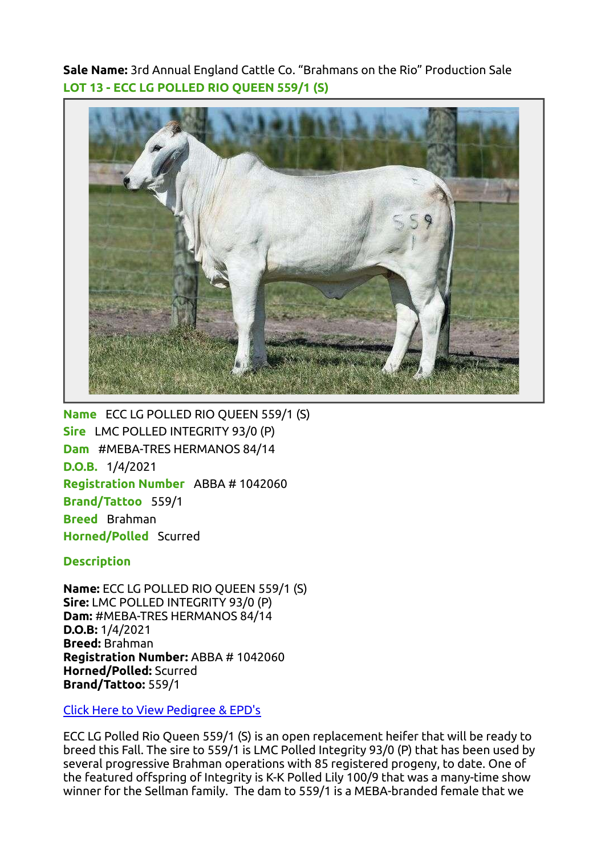Sale Name: 3rd Annual England Cattle Co. "Brahmans on the Rio" Production Sale LOT 13 - ECC LG POLLED RIO QUEEN 559/1 (S)



Name ECC LG POLLED RIO QUEEN 559/1 (S) Sire LMC POLLED INTEGRITY 93/0 (P) Dam #MEBA-TRES HERMANOS 84/14 D.O.B. 1/4/2021 Registration Number ABBA # 1042060 Brand/Tattoo 559/1 Breed Brahman Horned/Polled Scurred

**Description** 

Name: ECC LG POLLED RIO QUEEN 559/1 (S) Sire: LMC POLLED INTEGRITY 93/0 (P) Dam: #MEBA-TRES HERMANOS 84/14 D.O.B: 1/4/2021 Breed: Brahman Registration Number: ABBA # 1042060 Horned/Polled: Scurred Brand/Tattoo: 559/1

[Click Here to View Pedigree & EPD's](https://brahman.digitalbeef.com/modules.php?op=modload&name=_animal&file=_animal&animal_registration=1042060)

ECC LG Polled Rio Queen 559/1 (S) is an open replacement heifer that will be ready to breed this Fall. The sire to 559/1 is LMC Polled Integrity 93/0 (P) that has been used by several progressive Brahman operations with 85 registered progeny, to date. One of the featured offspring of Integrity is K-K Polled Lily 100/9 that was a many-time show winner for the Sellman family. The dam to 559/1 is a MEBA-branded female that we